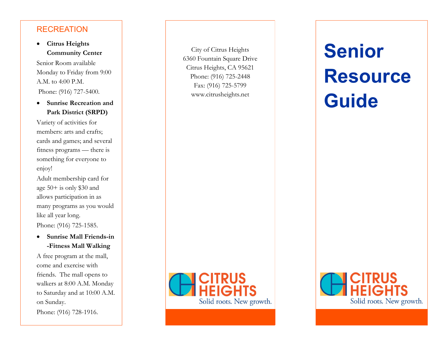## **RECREATION**

 **Citrus Heights Community Center**

Senior Room available Monday to Friday from 9:00 A.M. to 4:00 P.M. Phone: (916) 727-5400.

 **Sunrise Recreation and Park District (SRPD)** 

Variety of activities for members: arts and crafts; cards and games; and several fitness programs — there is something for everyone to enjoy!

Adult membership card for age 50+ is only \$30 and allows participation in as many programs as you would like all year long. Phone: (916) 725 -1585.

#### **Sunrise Mall Friends -in -Fitness Mall Walking**

A free program at the mall, come and exercise with friends. The mall opens to walkers at 8:00 A.M. Monday to Saturday and at 10:00 A.M. on Sunday.

Phone: (916) 728 -1916.

City of Citrus Heights 6360 Fountain Square Drive Citrus Heights, CA 95621 Phone: (916) 725 -2448 Fax: (916) 725 -5799 www.citrusheights.net



# **Senior Resource Guide**